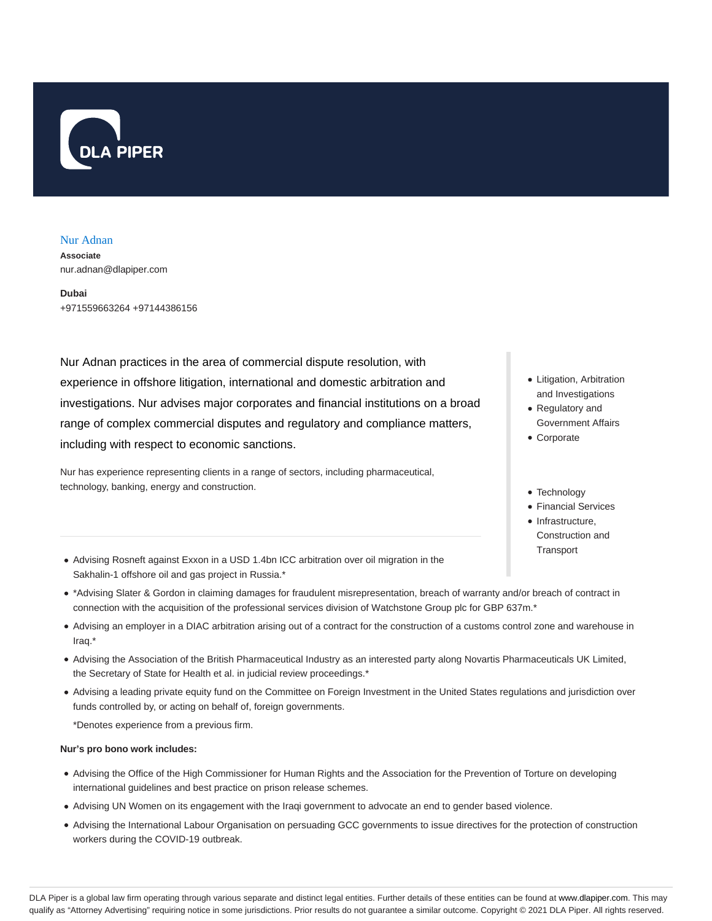

### Nur Adnan

**Associate** nur.adnan@dlapiper.com

**Dubai** +971559663264 +97144386156

Nur Adnan practices in the area of commercial dispute resolution, with experience in offshore litigation, international and domestic arbitration and investigations. Nur advises major corporates and financial institutions on a broad range of complex commercial disputes and regulatory and compliance matters, including with respect to economic sanctions.

Nur has experience representing clients in a range of sectors, including pharmaceutical, technology, banking, energy and construction.

- Litigation, Arbitration and Investigations
- Regulatory and Government Affairs
- Corporate
- Technology
- Financial Services
- Infrastructure. Construction and **Transport**
- Advising Rosneft against Exxon in a USD 1.4bn ICC arbitration over oil migration in the Sakhalin-1 offshore oil and gas project in Russia.\*
- \*Advising Slater & Gordon in claiming damages for fraudulent misrepresentation, breach of warranty and/or breach of contract in connection with the acquisition of the professional services division of Watchstone Group plc for GBP 637m.\*
- Advising an employer in a DIAC arbitration arising out of a contract for the construction of a customs control zone and warehouse in Iraq.\*
- Advising the Association of the British Pharmaceutical Industry as an interested party along Novartis Pharmaceuticals UK Limited, the Secretary of State for Health et al. in judicial review proceedings.\*
- Advising a leading private equity fund on the Committee on Foreign Investment in the United States regulations and jurisdiction over funds controlled by, or acting on behalf of, foreign governments.

\*Denotes experience from a previous firm.

#### **Nur's pro bono work includes:**

- Advising the Office of the High Commissioner for Human Rights and the Association for the Prevention of Torture on developing international guidelines and best practice on prison release schemes.
- Advising UN Women on its engagement with the Iraqi government to advocate an end to gender based violence.
- Advising the International Labour Organisation on persuading GCC governments to issue directives for the protection of construction workers during the COVID-19 outbreak.